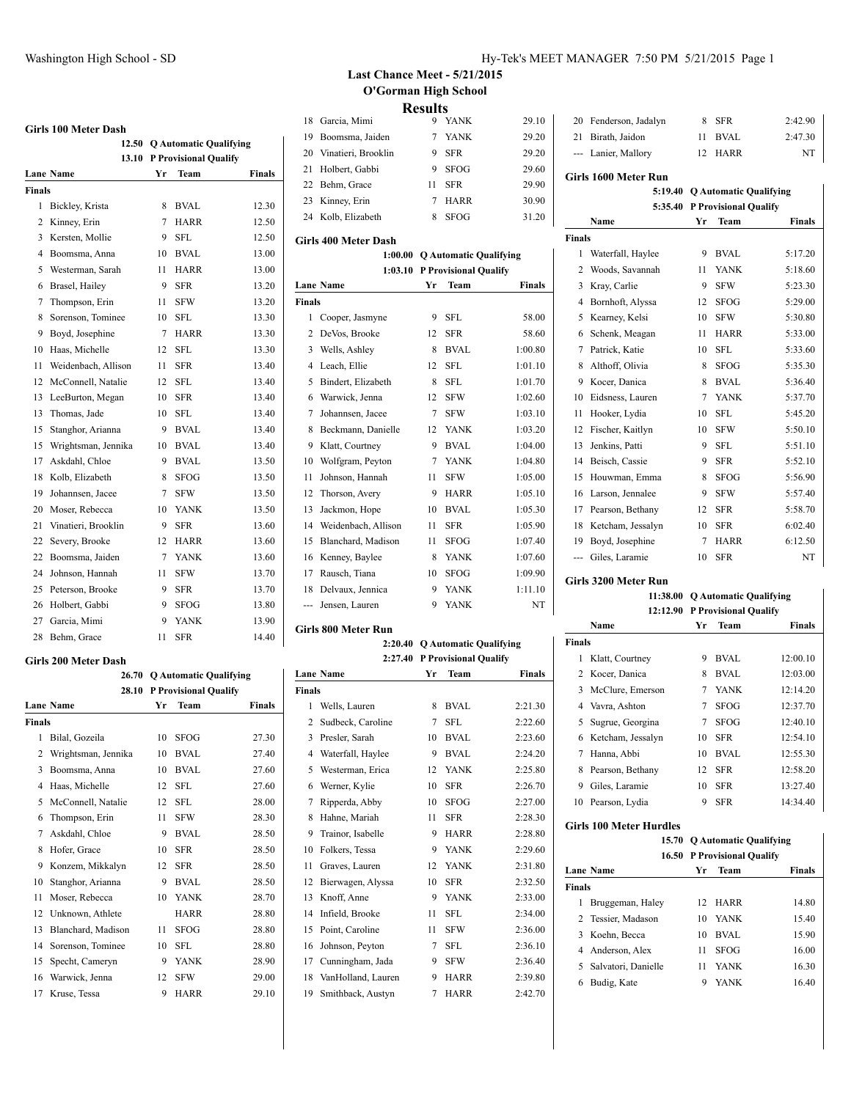## **Girls 100 Meter Dash**

|                | 12.50               |    | <b>Q Automatic Qualifying</b> |        |
|----------------|---------------------|----|-------------------------------|--------|
|                | 13.10               |    | <b>P Provisional Qualify</b>  |        |
|                | Lane Name           | Yr | Team                          | Finals |
| Finals         |                     |    |                               |        |
| 1              | Bickley, Krista     | 8  | <b>BVAL</b>                   | 12.30  |
| $\overline{c}$ | Kinney, Erin        | 7  | <b>HARR</b>                   | 12.50  |
| 3              | Kersten, Mollie     | 9  | SFL.                          | 12.50  |
| 4              | Boomsma, Anna       | 10 | <b>BVAL</b>                   | 13.00  |
| 5              | Westerman, Sarah    | 11 | <b>HARR</b>                   | 13.00  |
| 6              | Brasel, Hailey      | 9  | SFR                           | 13.20  |
| 7              | Thompson, Erin      | 11 | <b>SFW</b>                    | 13.20  |
| 8              | Sorenson, Tominee   | 10 | SFL                           | 13.30  |
| 9              | Boyd, Josephine     | 7  | HARR                          | 13.30  |
| 10             | Haas, Michelle      | 12 | <b>SFL</b>                    | 13.30  |
| 11             | Weidenbach, Allison | 11 | SFR                           | 13.40  |
| 12             | McConnell, Natalie  | 12 | <b>SFL</b>                    | 13.40  |
| 13             | LeeBurton, Megan    | 10 | SFR                           | 13.40  |
| 13             | Thomas, Jade        | 10 | SFL.                          | 13.40  |
| 15             | Stanghor, Arianna   | 9  | <b>BVAL</b>                   | 13.40  |
| 15             | Wrightsman, Jennika | 10 | <b>BVAL</b>                   | 13.40  |
| 17             | Askdahl, Chloe      | 9  | <b>BVAL</b>                   | 13.50  |
| 18             | Kolb, Elizabeth     | 8  | <b>SFOG</b>                   | 13.50  |
| 19             | Johannsen, Jacee    | 7  | <b>SFW</b>                    | 13.50  |
| 20             | Moser, Rebecca      | 10 | YANK                          | 13.50  |
| 21             | Vinatieri, Brooklin | 9  | <b>SFR</b>                    | 13.60  |
| 22             | Severy, Brooke      | 12 | HARR                          | 13.60  |
| 22             | Boomsma, Jaiden     | 7  | <b>YANK</b>                   | 13.60  |
| 24             | Johnson, Hannah     | 11 | <b>SFW</b>                    | 13.70  |
| 25             | Peterson, Brooke    | 9  | <b>SFR</b>                    | 13.70  |
| 26             | Holbert, Gabbi      | 9  | SFOG                          | 13.80  |
| 27             | Garcia, Mimi        | 9  | <b>YANK</b>                   | 13.90  |
| 28             | Behm, Grace         | 11 | <b>SFR</b>                    | 14.40  |

#### **Girls 200 Meter Dash**

|        | 26.70               |    | <b>Q Automatic Qualifying</b> |               |
|--------|---------------------|----|-------------------------------|---------------|
|        | 28.10               |    | <b>P Provisional Qualify</b>  |               |
|        | <b>Lane Name</b>    | Yr | <b>Team</b>                   | <b>Finals</b> |
| Finals |                     |    |                               |               |
| 1      | Bilal, Gozeila      | 10 | <b>SFOG</b>                   | 27.30         |
| 2      | Wrightsman, Jennika | 10 | <b>BVAL</b>                   | 27.40         |
| 3      | Boomsma, Anna       | 10 | <b>BVAL</b>                   | 27.60         |
| 4      | Haas, Michelle      | 12 | SFL                           | 27.60         |
| 5      | McConnell, Natalie  | 12 | SFL                           | 28.00         |
| 6      | Thompson, Erin      | 11 | <b>SFW</b>                    | 28.30         |
| 7      | Askdahl, Chloe      | 9  | <b>BVAL</b>                   | 28.50         |
| 8      | Hofer, Grace        | 10 | <b>SFR</b>                    | 28.50         |
| 9      | Konzem, Mikkalyn    | 12 | <b>SFR</b>                    | 28.50         |
| 10     | Stanghor, Arianna   | 9  | <b>BVAL</b>                   | 28.50         |
| 11     | Moser, Rebecca      | 10 | <b>YANK</b>                   | 28.70         |
| 12     | Unknown, Athlete    |    | <b>HARR</b>                   | 28.80         |
| 13     | Blanchard, Madison  | 11 | <b>SFOG</b>                   | 28.80         |
| 14     | Sorenson, Tominee   | 10 | <b>SFL</b>                    | 28.80         |
| 15     | Specht, Cameryn     | 9  | <b>YANK</b>                   | 28.90         |
| 16     | Warwick, Jenna      | 12 | <b>SFW</b>                    | 29.00         |
| 17     | Kruse, Tessa        | 9  | <b>HARR</b>                   | 29.10         |

### Washington High School - SD **Hy-Tek's MEET MANAGER** 7:50 PM 5/21/2015 Page 1

# **Last Chance Meet - 5/21/2015 O'Gorman High School Results**

|                        | -------- |             |       |
|------------------------|----------|-------------|-------|
| 18 Garcia, Mimi        |          | 9 YANK      | 29.10 |
| 19 Boomsma, Jaiden     |          | 7 YANK      | 29.20 |
| 20 Vinatieri, Brooklin |          | 9 SFR       | 29.20 |
| 21 Holbert, Gabbi      |          | 9 SFOG      | 29.60 |
| 22 Behm, Grace         | 11       | <b>SFR</b>  | 29.90 |
| 23 Kinney, Erin        |          | 7 HARR      | 30.90 |
| 24 Kolb, Elizabeth     | 8        | <b>SFOG</b> | 31.20 |

#### **Girls 400 Meter Dash**

|                | 1:00.00             |    | <b>O Automatic Qualifying</b> |         |
|----------------|---------------------|----|-------------------------------|---------|
|                | 1:03.10             |    | <b>P Provisional Qualify</b>  |         |
|                | <b>Lane Name</b>    | Yr | Team                          | Finals  |
| <b>Finals</b>  |                     |    |                               |         |
| 1              | Cooper, Jasmyne     | 9  | SFL.                          | 58.00   |
| 2              | DeVos, Brooke       | 12 | <b>SFR</b>                    | 58.60   |
| 3              | Wells, Ashley       | 8  | <b>BVAL</b>                   | 1:00.80 |
| $\overline{4}$ | Leach, Ellie        | 12 | <b>SFL</b>                    | 1:01.10 |
| 5              | Bindert, Elizabeth  | 8  | <b>SFL</b>                    | 1:01.70 |
| 6              | Warwick, Jenna      | 12 | <b>SFW</b>                    | 1:02.60 |
| 7              | Johannsen, Jacee    | 7  | <b>SFW</b>                    | 1:03.10 |
| 8              | Beckmann, Danielle  | 12 | <b>YANK</b>                   | 1:03.20 |
| 9              | Klatt, Courtney     | 9  | <b>BVAL</b>                   | 1:04.00 |
| 10             | Wolfgram, Peyton    | 7  | <b>YANK</b>                   | 1:04.80 |
| 11             | Johnson, Hannah     | 11 | <b>SFW</b>                    | 1:05.00 |
| 12             | Thorson, Avery      | 9  | <b>HARR</b>                   | 1:05.10 |
| 13             | Jackmon, Hope       | 10 | <b>BVAL</b>                   | 1:05.30 |
| 14             | Weidenbach, Allison | 11 | <b>SFR</b>                    | 1:05.90 |
| 15             | Blanchard, Madison  | 11 | <b>SFOG</b>                   | 1:07.40 |
| 16             | Kenney, Baylee      | 8  | <b>YANK</b>                   | 1:07.60 |
| 17             | Rausch, Tiana       | 10 | <b>SFOG</b>                   | 1:09.90 |
| 18             | Delvaux, Jennica    | 9  | <b>YANK</b>                   | 1:11.10 |
| ---            | Jensen, Lauren      | 9  | <b>YANK</b>                   | NT      |

#### **Girls 800 Meter Run**

|                | 2:20.40            | <b>Q Automatic Qualifying</b> |                              |         |
|----------------|--------------------|-------------------------------|------------------------------|---------|
|                | 2:27.40            |                               | <b>P Provisional Qualify</b> |         |
|                | <b>Lane Name</b>   | Yr                            | Team                         | Finals  |
| <b>Finals</b>  |                    |                               |                              |         |
| 1              | Wells, Lauren      | 8                             | <b>BVAL</b>                  | 2:21.30 |
| $\overline{c}$ | Sudbeck, Caroline  | 7                             | SFL                          | 2:22.60 |
| 3              | Presler, Sarah     | 10                            | <b>BVAL</b>                  | 2:23.60 |
| 4              | Waterfall, Haylee  | 9                             | <b>BVAL</b>                  | 2:24.20 |
| 5              | Westerman, Erica   | 12                            | <b>YANK</b>                  | 2:25.80 |
| 6              | Werner, Kylie      | 10                            | <b>SFR</b>                   | 2:26.70 |
| 7              | Ripperda, Abby     | 10                            | <b>SFOG</b>                  | 2:27.00 |
| 8              | Hahne, Mariah      | 11                            | <b>SFR</b>                   | 2:28.30 |
| 9              | Trainor, Isabelle  | 9                             | <b>HARR</b>                  | 2:28.80 |
| 10             | Folkers, Tessa     | 9                             | <b>YANK</b>                  | 2:29.60 |
| 11             | Graves, Lauren     | 12                            | <b>YANK</b>                  | 2:31.80 |
| 12             | Bierwagen, Alyssa  | 10                            | <b>SFR</b>                   | 2:32.50 |
| 13             | Knoff, Anne        | 9                             | <b>YANK</b>                  | 2:33.00 |
| 14             | Infield, Brooke    | 11                            | <b>SFL</b>                   | 2:34.00 |
| 15             | Point, Caroline    | 11                            | SFW                          | 2:36.00 |
| 16             | Johnson, Peyton    | 7                             | SFL                          | 2:36.10 |
| 17             | Cunningham, Jada   | 9                             | <b>SFW</b>                   | 2:36.40 |
| 18             | VanHolland, Lauren | 9                             | <b>HARR</b>                  | 2:39.80 |
| 19             | Smithback, Austyn  | 7                             | <b>HARR</b>                  | 2:42.70 |

| 20 Fenderson, Jadalyn | 8 SFR   | 2:42.90 |
|-----------------------|---------|---------|
| 21 Birath, Jaidon     | 11 BVAL | 2:47.30 |
| --- Lanier, Mallory   | 12 HARR | NT      |

#### **Girls 1600 Meter Run**

#### **5:19.40 Q Automatic Qualifying 5:35.40 P Provisional Qualify**

|                |                   |    | 5:35.40   г г гоувюнаг Quality |               |
|----------------|-------------------|----|--------------------------------|---------------|
|                | Name              | Yr | Team                           | <b>Finals</b> |
| <b>Finals</b>  |                   |    |                                |               |
| 1              | Waterfall, Haylee | 9  | <b>BVAL</b>                    | 5:17.20       |
| $\overline{c}$ | Woods, Savannah   | 11 | <b>YANK</b>                    | 5:18.60       |
| 3              | Kray, Carlie      | 9  | <b>SFW</b>                     | 5:23.30       |
| $\overline{4}$ | Bornhoft, Alyssa  | 12 | <b>SFOG</b>                    | 5:29.00       |
| 5              | Kearney, Kelsi    | 10 | <b>SFW</b>                     | 5:30.80       |
| 6              | Schenk, Meagan    | 11 | <b>HARR</b>                    | 5:33.00       |
| 7              | Patrick, Katie    | 10 | <b>SFL</b>                     | 5:33.60       |
| 8              | Althoff, Olivia   |    | <b>SFOG</b>                    | 5:35.30       |
| 9              | Kocer, Danica     |    | <b>BVAL</b>                    | 5:36.40       |
| 10             | Eidsness, Lauren  |    | <b>YANK</b>                    | 5:37.70       |
| 11             | Hooker, Lydia     | 10 | SFL                            | 5:45.20       |
| 12             | Fischer, Kaitlyn  | 10 | <b>SFW</b>                     | 5:50.10       |
| 13             | Jenkins, Patti    | 9  | <b>SFL</b>                     | 5:51.10       |
| 14             | Beisch, Cassie    | 9  | <b>SFR</b>                     | 5:52.10       |
| 15             | Houwman, Emma     | 8  | <b>SFOG</b>                    | 5:56.90       |
| 16             | Larson, Jennalee  | 9  | <b>SFW</b>                     | 5:57.40       |
| 17             | Pearson, Bethany  | 12 | <b>SFR</b>                     | 5:58.70       |
| 18             | Ketcham, Jessalyn | 10 | <b>SFR</b>                     | 6:02.40       |
| 19             | Boyd, Josephine   | 7  | <b>HARR</b>                    | 6:12.50       |
|                | Giles, Laramie    | 10 | <b>SFR</b>                     | NT            |
|                |                   |    |                                |               |

#### **Girls 3200 Meter Run**

**11:38.00 Q Automatic Qualifying 12:12.90 P Provisional Qualify Name Yr Team Finals Finals** Klatt, Courtney 9 BVAL 12:00.10 Kocer, Danica 8 BVAL 12:03.00 3 McClure, Emerson 7 YANK 12:14.20 Vavra, Ashton 7 SFOG 12:37.70 Sugrue, Georgina 7 SFOG 12:40.10 Ketcham, Jessalyn 10 SFR 12:54.10 Hanna, Abbi 10 BVAL 12:55.30 8 Pearson, Bethany 12 SFR 12:58.20 Giles, Laramie 10 SFR 13:27.40 Pearson, Lydia 9 SFR 14:34.40

#### **Girls 100 Meter Hurdles**

| 15.70 Q Automatic Qualifying       |
|------------------------------------|
| <b>16.50 P Provisional Qualify</b> |

|               | <b>Lane Name</b>      | Yr           | <b>Team</b> | Finals |
|---------------|-----------------------|--------------|-------------|--------|
| <b>Finals</b> |                       |              |             |        |
| 1             | Bruggeman, Haley      | $12^{\circ}$ | <b>HARR</b> | 14.80  |
|               | 2 Tessier, Madason    | 10           | <b>YANK</b> | 15.40  |
|               | 3 Koehn, Becca        | 10           | BVAL        | 15.90  |
|               | 4 Anderson, Alex      | 11           | <b>SFOG</b> | 16.00  |
|               | 5 Salvatori, Danielle | 11           | <b>YANK</b> | 16.30  |
| 6             | Budig, Kate           | 9            | YANK        | 16.40  |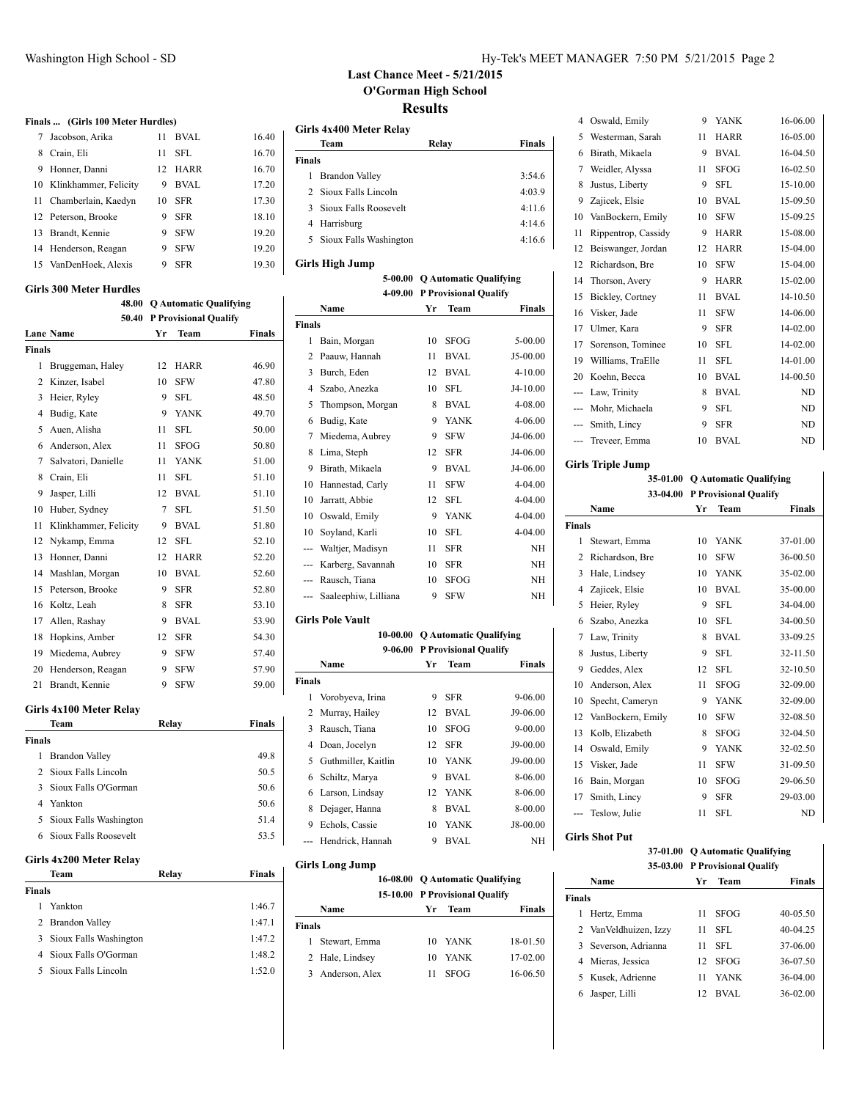**Finals ... (Girls 100 Meter Hurdles)**

 Brandt, Kennie 9 SFW 19.20 14 Henderson, Reagan 9 SFW 19.20 15 VanDenHoek, Alexis 9 SFR 19.30

## Washington High School - SD **Hy-Tek's MEET MANAGER** 7:50 PM 5/21/2015 Page 2

# **Last Chance Meet - 5/21/2015 O'Gorman High School Results**

|                          |     |             |       | Girls 4x400 Meter Relay  |       |        |
|--------------------------|-----|-------------|-------|--------------------------|-------|--------|
| Jacobson, Arika          | 11. | <b>BVAL</b> | 16.40 | Team                     | Relay | Finals |
| 8 Crain, Eli             | 11. | <b>SFL</b>  | 16.70 | <b>Finals</b>            |       |        |
| 9 Honner, Danni          | 12. | <b>HARR</b> | 16.70 | <b>Brandon Valley</b>    |       | 3:54.6 |
| 10 Klinkhammer, Felicity | 9   | <b>BVAL</b> | 17.20 | 2 Sioux Falls Lincoln    |       | 4:03.9 |
| 11 Chamberlain, Kaedyn   | 10  | <b>SFR</b>  | 17.30 | 3 Sioux Falls Roosevelt  |       | 4:11.6 |
| 12 Peterson, Brooke      | 9.  | SFR         | 18.10 | 4 Harrisburg             |       | 4:14.6 |
| 13 Brandt, Kennie        | 9   | <b>SFW</b>  | 19.20 | 5 Sioux Falls Washington |       | 4:16.6 |
| 14 Henderson Reagan      |     | 9 SFW       | 19.20 |                          |       |        |

**5-00.00 Q Automatic Qualifying**

#### **Girls High Jump**

|  |  | Girls 300 Meter Hurdles |
|--|--|-------------------------|
|--|--|-------------------------|

|        | 48.00                   |       | <b>Q Automatic Qualifying</b> |               |
|--------|-------------------------|-------|-------------------------------|---------------|
|        | 50.40                   |       | <b>P Provisional Qualify</b>  |               |
|        | <b>Lane Name</b>        | Yr    | Team                          | <b>Finals</b> |
| Finals |                         |       |                               |               |
| 1      | Bruggeman, Haley        | 12    | <b>HARR</b>                   | 46.90         |
| 2      | Kinzer, Isabel          | 10    | <b>SFW</b>                    | 47.80         |
| 3      | Heier, Ryley            | 9     | <b>SFL</b>                    | 48.50         |
| 4      | Budig, Kate             | 9     | <b>YANK</b>                   | 49.70         |
| 5      | Auen, Alisha            | 11    | <b>SFL</b>                    | 50.00         |
| 6      | Anderson, Alex          | 11    | <b>SFOG</b>                   | 50.80         |
| 7      | Salvatori, Danielle     | 11    | <b>YANK</b>                   | 51.00         |
| 8      | Crain, Eli              | 11    | <b>SFL</b>                    | 51.10         |
| 9      | Jasper, Lilli           | 12    | <b>BVAL</b>                   | 51.10         |
| 10     | Huber, Sydney           |       | <b>SFL</b>                    | 51.50         |
| 11     | Klinkhammer, Felicity   | 9     | <b>BVAL</b>                   | 51.80         |
| 12     | Nykamp, Emma            | 12    | <b>SFL</b>                    | 52.10         |
| 13     | Honner, Danni           | 12    | <b>HARR</b>                   | 52.20         |
| 14     | Mashlan, Morgan         | 10    | <b>BVAL</b>                   | 52.60         |
| 15     | Peterson, Brooke        | 9     | <b>SFR</b>                    | 52.80         |
| 16     | Koltz, Leah             | 8     | <b>SFR</b>                    | 53.10         |
| 17     | Allen, Rashay           | 9     | <b>BVAL</b>                   | 53.90         |
| 18     | Hopkins, Amber          | 12    | <b>SFR</b>                    | 54.30         |
| 19     | Miedema, Aubrey         | 9     | <b>SFW</b>                    | 57.40         |
| 20     | Henderson, Reagan       | 9     | <b>SFW</b>                    | 57.90         |
| 21     | Brandt, Kennie          | 9     | <b>SFW</b>                    | 59.00         |
|        | Girls 4x100 Meter Relay |       |                               |               |
|        | Team                    | Relay |                               | <b>Finals</b> |
| Finals |                         |       |                               |               |
| 1      | <b>Brandon Valley</b>   |       |                               | 49.8          |
|        |                         |       |                               |               |

| шаіз |                          |      |
|------|--------------------------|------|
| 1    | <b>Brandon Valley</b>    | 49.8 |
|      | 2 Sioux Falls Lincoln    | 50.5 |
|      | 3 Sioux Falls O'Gorman   | 50.6 |
|      | 4 Yankton                | 50.6 |
|      | 5 Sioux Falls Washington | 51.4 |
|      | 6 Sioux Falls Roosevelt  | 53.5 |
|      |                          |      |

## **Girls 4x200 Meter Relay**

| Team                     | Relay | Finals |
|--------------------------|-------|--------|
| <b>Finals</b>            |       |        |
| Yankton                  |       | 1:46.7 |
| 2 Brandon Valley         |       | 1:47.1 |
| 3 Sioux Falls Washington |       | 1:47.2 |
| 4 Sioux Falls O'Gorman   |       | 1:48.2 |
| 5 Sioux Falls Lincoln    |       | 1:52.0 |
|                          |       |        |

|               |                      |    | 4-09.00 P Provisional Qualify |             |
|---------------|----------------------|----|-------------------------------|-------------|
|               | Name                 | Yr | Team                          | Finals      |
| <b>Finals</b> |                      |    |                               |             |
| 1             | Bain, Morgan         | 10 | <b>SFOG</b>                   | 5-00.00     |
| 2             | Paauw, Hannah        | 11 | BVAL                          | J5-00.00    |
| 3             | Burch, Eden          | 12 | <b>BVAL</b>                   | 4-10.00     |
| 4             | Szabo, Anezka        | 10 | <b>SFL</b>                    | J4-10.00    |
| 5             | Thompson, Morgan     | 8  | <b>BVAL</b>                   | 4-08.00     |
| 6             | Budig, Kate          | 9  | <b>YANK</b>                   | 4-06.00     |
| 7             | Miedema, Aubrey      | 9  | <b>SFW</b>                    | J4-06.00    |
| 8             | Lima, Steph          | 12 | <b>SFR</b>                    | J4-06.00    |
| 9             | Birath, Mikaela      | 9  | <b>BVAL</b>                   | J4-06.00    |
| 10            | Hannestad, Carly     | 11 | <b>SFW</b>                    | $4 - 04.00$ |
| 10            | Jarratt, Abbie       | 12 | <b>SFL</b>                    | $4 - 04.00$ |
| 10            | Oswald, Emily        | 9  | <b>YANK</b>                   | $4 - 04.00$ |
| 10            | Soyland, Karli       | 10 | <b>SFL</b>                    | 4-04.00     |
| ---           | Waltjer, Madisyn     | 11 | <b>SFR</b>                    | NH          |
|               | Karberg, Savannah    | 10 | <b>SFR</b>                    | NH          |
| ---           | Rausch, Tiana        | 10 | <b>SFOG</b>                   | NH          |
| ---           | Saaleephiw, Lilliana | 9  | <b>SFW</b>                    | NH          |

#### **Girls Pole Vault**

|        |                     |                               | 10-00.00 Q Automatic Qualifying |             |
|--------|---------------------|-------------------------------|---------------------------------|-------------|
|        |                     | 9-06.00 P Provisional Qualify |                                 |             |
|        | Name                | Yr                            | Team                            | Finals      |
| Finals |                     |                               |                                 |             |
| 1      | Vorobyeva, Irina    | 9                             | <b>SFR</b>                      | 9-06.00     |
|        | 2 Murray, Hailey    | 12                            | <b>BVAL</b>                     | J9-06.00    |
| 3      | Rausch, Tiana       | 10                            | <b>SFOG</b>                     | $9 - 00.00$ |
| 4      | Doan, Jocelyn       | 12                            | <b>SFR</b>                      | J9-00.00    |
| 5.     | Guthmiller, Kaitlin | 10                            | YANK                            | J9-00.00    |
|        | 6 Schiltz, Marya    | 9                             | <b>BVAL</b>                     | 8-06.00     |
| 6      | Larson, Lindsay     | 12                            | <b>YANK</b>                     | 8-06.00     |
| 8      | Dejager, Hanna      | 8                             | <b>BVAL</b>                     | 8-00.00     |
| 9      | Echols, Cassie      | 10                            | <b>YANK</b>                     | J8-00.00    |
|        | Hendrick, Hannah    | 9                             | BVAL                            | NH          |

### **Girls Long Jump**

|               |                 |    | 16-08.00 O Automatic Qualifying<br>15-10.00 P Provisional Qualify |          |
|---------------|-----------------|----|-------------------------------------------------------------------|----------|
|               | Name            | Vr | Team                                                              | Finals   |
| <b>Finals</b> |                 |    |                                                                   |          |
| L             | Stewart, Emma   | 10 | <b>YANK</b>                                                       | 18-01.50 |
|               | 2 Hale, Lindsey | 10 | <b>YANK</b>                                                       | 17-02.00 |
| 3             | Anderson, Alex  | 11 | <b>SFOG</b>                                                       | 16-06.50 |

| 4              | Oswald, Emily       | 9  | <b>YANK</b> | 16-06.00 |
|----------------|---------------------|----|-------------|----------|
| 5              | Westerman, Sarah    | 11 | <b>HARR</b> | 16-05.00 |
| 6              | Birath, Mikaela     | 9  | <b>BVAL</b> | 16-04.50 |
| 7              | Weidler, Alyssa     | 11 | <b>SFOG</b> | 16-02.50 |
| 8              | Justus, Liberty     | 9  | <b>SFL</b>  | 15-10.00 |
| 9              | Zajicek, Elsie      | 10 | <b>BVAL</b> | 15-09.50 |
| 10             | VanBockern, Emily   | 10 | <b>SFW</b>  | 15-09.25 |
| 11             | Rippentrop, Cassidy | 9  | <b>HARR</b> | 15-08.00 |
| 12             | Beiswanger, Jordan  | 12 | <b>HARR</b> | 15-04.00 |
| 12             | Richardson, Bre     | 10 | <b>SFW</b>  | 15-04.00 |
| 14             | Thorson, Avery      | 9  | <b>HARR</b> | 15-02.00 |
| 15             | Bickley, Cortney    | 11 | <b>BVAL</b> | 14-10.50 |
| 16             | Visker, Jade        | 11 | <b>SFW</b>  | 14-06.00 |
| 17             | Ulmer, Kara         | 9  | <b>SFR</b>  | 14-02.00 |
| 17             | Sorenson, Tominee   | 10 | <b>SFL</b>  | 14-02.00 |
| 19             | Williams, TraElle   | 11 | <b>SFL</b>  | 14-01.00 |
| 20             | Koehn, Becca        | 10 | <b>BVAL</b> | 14-00.50 |
| ---            | Law, Trinity        | 8  | <b>BVAL</b> | ND       |
| $\overline{a}$ | Mohr, Michaela      | 9  | <b>SFL</b>  | ND       |
| $---$          | Smith, Lincy        | 9  | <b>SFR</b>  | ND       |
| ---            | Treveer, Emma       | 10 | <b>BVAL</b> | ND       |
|                |                     |    |             |          |

## **Girls Triple Jump**

#### **35-01.00 Q Automatic Qualifying 33-04.00 P Provisional Qualify**

|               | Name              | Yr | Team        | <b>Finals</b> |
|---------------|-------------------|----|-------------|---------------|
| <b>Finals</b> |                   |    |             |               |
| 1             | Stewart, Emma     | 10 | <b>YANK</b> | 37-01.00      |
| 2             | Richardson, Bre   | 10 | <b>SFW</b>  | 36-00.50      |
| 3             | Hale, Lindsey     | 10 | <b>YANK</b> | 35-02.00      |
| 4             | Zajicek, Elsie    | 10 | <b>BVAL</b> | 35-00.00      |
| 5             | Heier, Ryley      | 9  | <b>SFL</b>  | 34-04.00      |
| 6             | Szabo, Anezka     | 10 | <b>SFL</b>  | 34-00.50      |
| 7             | Law, Trinity      | 8  | <b>BVAL</b> | 33-09.25      |
| 8             | Justus, Liberty   | 9  | <b>SFL</b>  | 32-11.50      |
| 9             | Geddes, Alex      | 12 | <b>SFL</b>  | 32-10.50      |
| 10            | Anderson, Alex    | 11 | <b>SFOG</b> | 32-09.00      |
| 10            | Specht, Cameryn   | 9  | <b>YANK</b> | 32-09.00      |
| 12            | VanBockern, Emily | 10 | <b>SFW</b>  | 32-08.50      |
| 13            | Kolb, Elizabeth   | 8  | <b>SFOG</b> | 32-04.50      |
| 14            | Oswald, Emily     | 9  | <b>YANK</b> | 32-02.50      |
| 15            | Visker, Jade      | 11 | <b>SFW</b>  | 31-09.50      |
| 16            | Bain, Morgan      | 10 | <b>SFOG</b> | 29-06.50      |
| 17            | Smith, Lincy      | 9  | <b>SFR</b>  | 29-03.00      |
|               | Teslow, Julie     | 11 | <b>SFL</b>  | <b>ND</b>     |
|               |                   |    |             |               |

## **Girls Shot Put**

#### **37-01.00 Q Automatic Qualifying 35-03.00 P Provisional Qualify**

|        | Name                   | Yг | <b>Team</b> | <b>Finals</b> |
|--------|------------------------|----|-------------|---------------|
| Finals |                        |    |             |               |
|        | Hertz, Emma            | 11 | <b>SFOG</b> | 40-05.50      |
|        | 2 Van Veldhuizen, Izzy | 11 | SFL         | 40-04.25      |
|        | 3 Severson, Adrianna   | 11 | SFL         | 37-06.00      |
|        | 4 Mieras, Jessica      | 12 | <b>SFOG</b> | 36-07.50      |
|        | 5 Kusek, Adrienne      | 11 | <b>YANK</b> | 36-04.00      |
| 6      | Jasper, Lilli          |    | BVAL        | 36-02.00      |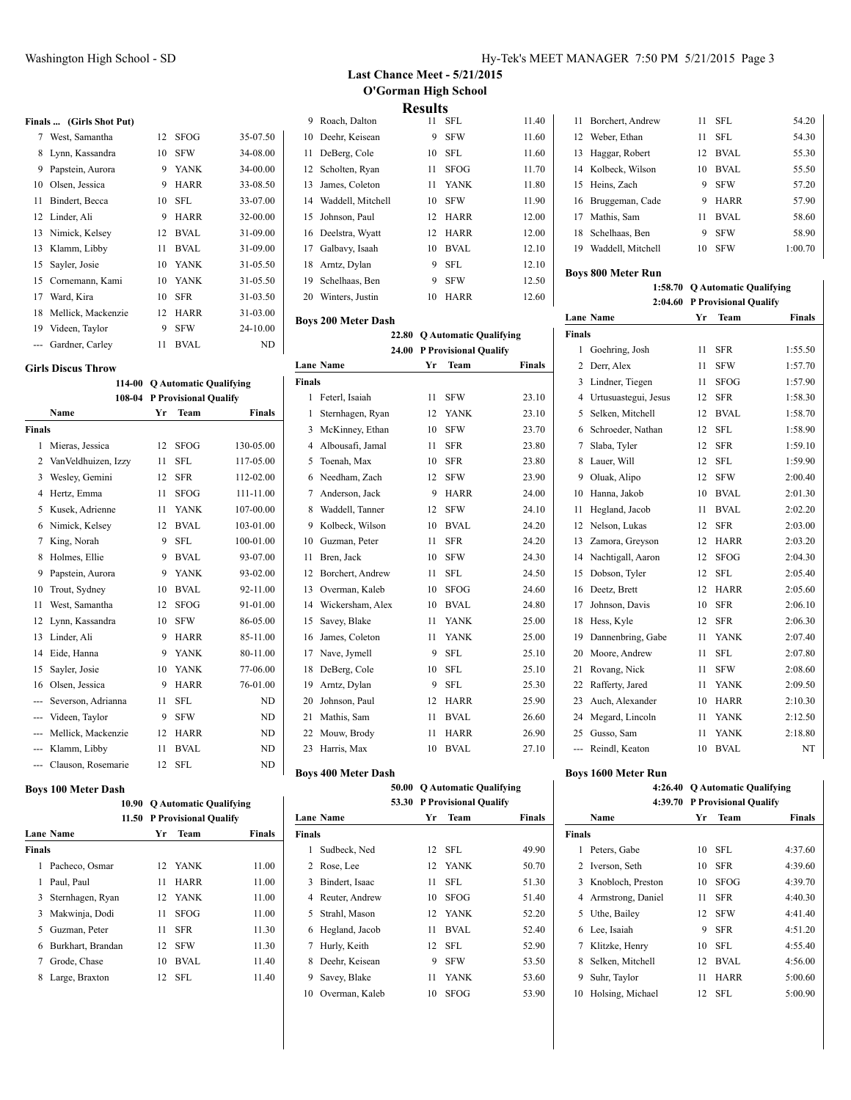West, Samantha 12 SFOG 35-07.50 Lynn, Kassandra 10 SFW 34-08.00 Papstein, Aurora 9 YANK 34-00.00 Olsen, Jessica 9 HARR 33-08.50 Bindert, Becca 10 SFL 33-07.00 Linder, Ali 9 HARR 32-00.00 Nimick, Kelsey 12 BVAL 31-09.00 Klamm, Libby 11 BVAL 31-09.00 Sayler, Josie 10 YANK 31-05.50 Cornemann, Kami 10 YANK 31-05.50 Ward, Kira 10 SFR 31-03.50 Mellick, Mackenzie 12 HARR 31-03.00 Videen, Taylor 9 SFW 24-10.00 --- Gardner, Carley 11 BVAL ND

**114-00 Q Automatic Qualifying 108-04 P Provisional Qualify Name Yr Team Finals**

 Mieras, Jessica 12 SFOG 130-05.00 VanVeldhuizen, Izzy 11 SFL 117-05.00 Wesley, Gemini 12 SFR 112-02.00 Hertz, Emma 11 SFOG 111-11.00 Kusek, Adrienne 11 YANK 107-00.00 Nimick, Kelsey 12 BVAL 103-01.00 King, Norah 9 SFL 100-01.00 8 Holmes, Ellie 9 BVAL 93-07.00 Papstein, Aurora 9 YANK 93-02.00 Trout, Sydney 10 BVAL 92-11.00 West, Samantha 12 SFOG 91-01.00 Lynn, Kassandra 10 SFW 86-05.00 Linder, Ali 9 HARR 85-11.00 14 Eide, Hanna 9 YANK 80-11.00 Sayler, Josie 10 YANK 77-06.00 Olsen, Jessica 9 HARR 76-01.00 --- Severson, Adrianna 11 SFL ND --- Videen, Taylor 9 SFW ND Mellick, Mackenzie 12 HARR ND --- Klamm, Libby 11 BVAL ND --- Clauson, Rosemarie 12 SFL ND

**Finals ... (Girls Shot Put)**

**Girls Discus Throw**

**Finals**

## **Last Chance Meet - 5/21/2015 O'Gorman High School Results**

|   |                      | 11694169 |             |       |
|---|----------------------|----------|-------------|-------|
| 9 | Roach, Dalton        | 11       | <b>SFL</b>  | 11.40 |
|   | 10 Deehr, Keisean    | 9        | <b>SFW</b>  | 11.60 |
|   | 11 DeBerg, Cole      | 10       | <b>SFL</b>  | 11.60 |
|   | 12 Scholten, Ryan    | 11       | <b>SFOG</b> | 11.70 |
|   | 13 James, Coleton    | 11       | YANK        | 11.80 |
|   | 14 Waddell, Mitchell | 10       | <b>SFW</b>  | 11.90 |
|   | 15 Johnson, Paul     | 12       | <b>HARR</b> | 12.00 |
|   | 16 Deelstra, Wyatt   | 12       | <b>HARR</b> | 12.00 |
|   | 17 Galbavy, Isaah    | 10       | <b>BVAL</b> | 12.10 |
|   | 18 Arntz, Dylan      | 9        | <b>SFL</b>  | 12.10 |
|   | 19 Schelhaas, Ben    | 9        | <b>SFW</b>  | 12.50 |
|   | 20 Winters, Justin   | 10       | <b>HARR</b> | 12.60 |
|   |                      |          |             |       |

#### **Boys 200 Meter Dash**

|               | 22.80            | <b>Q Automatic Qualifying</b> |                              |        |
|---------------|------------------|-------------------------------|------------------------------|--------|
|               | 24.00            |                               | <b>P Provisional Qualify</b> |        |
|               | <b>Lane Name</b> | Yr                            | Team                         | Finals |
| <b>Finals</b> |                  |                               |                              |        |
| $\mathbf{1}$  | Feterl, Isaiah   | 11                            | <b>SFW</b>                   | 23.10  |
| 1             | Sternhagen, Ryan | 12                            | <b>YANK</b>                  | 23.10  |
| 3             | McKinney, Ethan  | 10                            | <b>SFW</b>                   | 23.70  |
| 4             | Albousafi, Jamal | 11                            | <b>SFR</b>                   | 23.80  |
| 5             | Toenah, Max      | 10                            | <b>SFR</b>                   | 23.80  |
| 6             | Needham, Zach    | 12                            | SFW                          | 23.90  |
| 7             | Anderson, Jack   | 9                             | <b>HARR</b>                  | 24.00  |
| 8             | Waddell, Tanner  | 12                            | <b>SFW</b>                   | 24.10  |
| 9             | Kolbeck, Wilson  | 10                            | <b>BVAL</b>                  | 24.20  |
| 10            | Guzman, Peter    | 11                            | <b>SFR</b>                   | 24.20  |
| 11            | Bren, Jack       | 10                            | <b>SFW</b>                   | 24.30  |
| 12            | Borchert, Andrew | 11                            | SFL                          | 24.50  |
| 13            | Overman, Kaleb   | 10                            | <b>SFOG</b>                  | 24.60  |
| 14            | Wickersham, Alex | 10                            | <b>BVAL</b>                  | 24.80  |
| 15            | Savey, Blake     | 11                            | <b>YANK</b>                  | 25.00  |
| 16            | James, Coleton   | 11                            | <b>YANK</b>                  | 25.00  |
| 17            | Nave, Jymell     | 9                             | <b>SFL</b>                   | 25.10  |
| 18            | DeBerg, Cole     | 10                            | SFL                          | 25.10  |
| 19            | Arntz, Dylan     | 9                             | SFL                          | 25.30  |
| 20            | Johnson, Paul    | 12                            | <b>HARR</b>                  | 25.90  |
| 21            | Mathis, Sam      | 11                            | <b>BVAL</b>                  | 26.60  |
| 22            | Mouw, Brody      | 11                            | <b>HARR</b>                  | 26.90  |
| 23            | Harris, Max      | 10                            | <b>BVAL</b>                  | 27.10  |

## **Boys 400 Meter Dash**

# **50.00 Q Automatic Qualifying**

|               |                  |    | 53.30 P Provisional Qualify |        |
|---------------|------------------|----|-----------------------------|--------|
|               | <b>Lane Name</b> | Yr | <b>Team</b>                 | Finals |
| <b>Finals</b> |                  |    |                             |        |
| 1             | Sudbeck, Ned     | 12 | SFL                         | 49.90  |
| 2             | Rose, Lee        |    | 12 YANK                     | 50.70  |
| 3             | Bindert, Isaac   | 11 | SFL.                        | 51.30  |
|               | 4 Reuter, Andrew | 10 | <b>SFOG</b>                 | 51.40  |
| 5.            | Strahl, Mason    |    | 12 YANK                     | 52.20  |
| 6             | Hegland, Jacob   | 11 | BVAL                        | 52.40  |
| 7             | Hurly, Keith     | 12 | SFL                         | 52.90  |
| 8             | Deehr, Keisean   | 9  | <b>SFW</b>                  | 53.50  |
| 9             | Savey, Blake     | 11 | <b>YANK</b>                 | 53.60  |
| 10            | Overman, Kaleb   | 10 | <b>SFOG</b>                 | 53.90  |

# **Boys 1600 Meter Run**

**4:26.40 Q Automatic Qualifying 4:39.70 P Provisional Qualify Name Yr Team Finals Finals** Peters, Gabe 10 SFL 4:37.60 Iverson, Seth 10 SFR 4:39.60 Knobloch, Preston 10 SFOG 4:39.70 Armstrong, Daniel 11 SFR 4:40.30 Uthe, Bailey 12 SFW 4:41.40 Lee, Isaiah 9 SFR 4:51.20 Klitzke, Henry 10 SFL 4:55.40 Selken, Mitchell 12 BVAL 4:56.00

 Suhr, Taylor 11 HARR 5:00.60 Holsing, Michael 12 SFL 5:00.90

# 11 Borchert, Andrew 11 SFL 54.20 12 Weber, Ethan 11 SFL 54.30 Haggar, Robert 12 BVAL 55.30 Kolbeck, Wilson 10 BVAL 55.50 Heins, Zach 9 SFW 57.20 16 Bruggeman, Cade 9 HARR 57.90 Mathis, Sam 11 BVAL 58.60 Schelhaas, Ben 9 SFW 58.90 Waddell, Mitchell 10 SFW 1:00.70

### **Boys 800 Meter Run**

**1:58.70 Q Automatic Qualifying 2:04.60 P Provisional Qualify**

|                | 4.07.00              |    | 1 1 TUVISIUHAI VUAILLY |               |
|----------------|----------------------|----|------------------------|---------------|
|                | <b>Lane Name</b>     | Yr | Team                   | <b>Finals</b> |
| <b>Finals</b>  |                      |    |                        |               |
| 1              | Goehring, Josh       | 11 | <b>SFR</b>             | 1:55.50       |
| $\overline{c}$ | Derr, Alex           | 11 | <b>SFW</b>             | 1:57.70       |
| 3              | Lindner, Tiegen      | 11 | <b>SFOG</b>            | 1:57.90       |
| 4              | Urtusuastegui, Jesus | 12 | <b>SFR</b>             | 1:58.30       |
| 5              | Selken, Mitchell     | 12 | <b>BVAL</b>            | 1:58.70       |
| 6              | Schroeder, Nathan    | 12 | <b>SFL</b>             | 1:58.90       |
| 7              | Slaba, Tyler         | 12 | <b>SFR</b>             | 1:59.10       |
| 8              | Lauer, Will          | 12 | <b>SFL</b>             | 1:59.90       |
| 9              | Oluak, Alipo         | 12 | <b>SFW</b>             | 2:00.40       |
| 10             | Hanna, Jakob         | 10 | <b>BVAL</b>            | 2:01.30       |
| 11             | Hegland, Jacob       | 11 | <b>BVAL</b>            | 2:02.20       |
| 12             | Nelson, Lukas        | 12 | <b>SFR</b>             | 2:03.00       |
| 13             | Zamora, Greyson      | 12 | <b>HARR</b>            | 2:03.20       |
| 14             | Nachtigall, Aaron    | 12 | <b>SFOG</b>            | 2:04.30       |
| 15             | Dobson, Tyler        | 12 | <b>SFL</b>             | 2:05.40       |
| 16             | Deetz, Brett         | 12 | <b>HARR</b>            | 2:05.60       |
| 17             | Johnson, Davis       | 10 | <b>SFR</b>             | 2:06.10       |
| 18             | Hess, Kyle           | 12 | <b>SFR</b>             | 2:06.30       |
| 19             | Dannenbring, Gabe    | 11 | <b>YANK</b>            | 2:07.40       |
| 20             | Moore, Andrew        | 11 | <b>SFL</b>             | 2:07.80       |
| 21             | Rovang, Nick         | 11 | <b>SFW</b>             | 2:08.60       |
| 22             | Rafferty, Jared      | 11 | <b>YANK</b>            | 2:09.50       |
| 23             | Auch, Alexander      | 10 | <b>HARR</b>            | 2:10.30       |
| 24             | Megard, Lincoln      | 11 | <b>YANK</b>            | 2:12.50       |
| 25             | Gusso, Sam           | 11 | <b>YANK</b>            | 2:18.80       |
| ---            | Reindl, Keaton       | 10 | <b>BVAL</b>            | NT            |

#### **Boys 100 Meter Dash**

|        |                    | 10.90 O Automatic Qualifying |                             |               |  |
|--------|--------------------|------------------------------|-----------------------------|---------------|--|
|        |                    |                              | 11.50 P Provisional Qualify |               |  |
|        | Lane Name          | Yr                           | <b>Team</b>                 | <b>Finals</b> |  |
| Finals |                    |                              |                             |               |  |
| 1      | Pacheco, Osmar     |                              | 12 YANK                     | 11.00         |  |
| 1      | Paul, Paul         | 11                           | <b>HARR</b>                 | 11.00         |  |
|        | 3 Sternhagen, Ryan |                              | 12 YANK                     | 11.00         |  |
|        | 3 Makwinja, Dodi   | 11                           | <b>SFOG</b>                 | 11.00         |  |
| 5.     | Guzman, Peter      | 11                           | <b>SFR</b>                  | 11.30         |  |
| 6      | Burkhart, Brandan  | 12                           | <b>SFW</b>                  | 11.30         |  |
| 7      | Grode, Chase       | 10                           | BVAL                        | 11.40         |  |
| 8      | Large, Braxton     |                              | 12 SFL                      | 11.40         |  |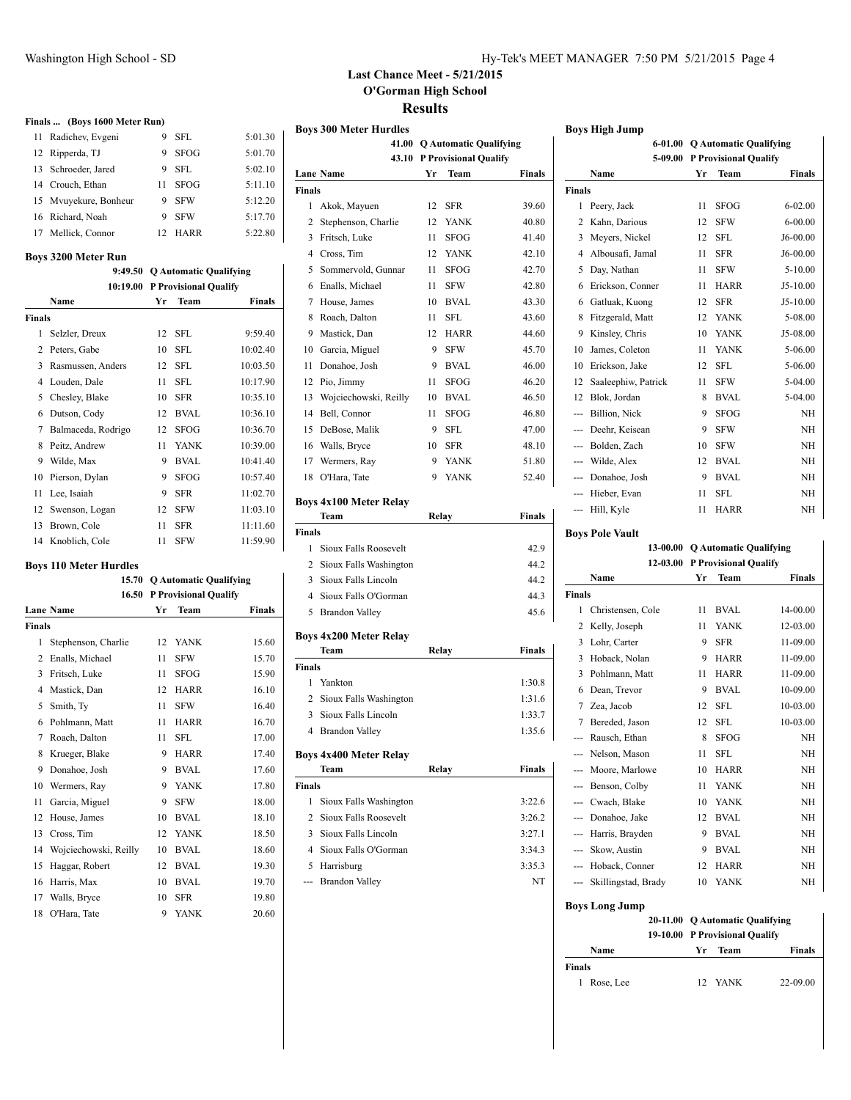**Finals ... (Boys 1600 Meter Run)**

# **Last Chance Meet - 5/21/2015 O'Gorman High School Results**

|               |                                |    |                             |                                |               | <b>Boys 300 Meter Hurdles</b>         |    |                               |        |
|---------------|--------------------------------|----|-----------------------------|--------------------------------|---------------|---------------------------------------|----|-------------------------------|--------|
|               | 11 Radichev, Evgeni            | 9  | <b>SFL</b>                  | 5:01.30                        |               | 41.00                                 |    | <b>Q Automatic Qualifying</b> |        |
|               | 12 Ripperda, TJ                | 9  | <b>SFOG</b>                 | 5:01.70                        |               |                                       |    | 43.10 P Provisional Qualify   |        |
| 13            | Schroeder, Jared               | 9  | <b>SFL</b>                  | 5:02.10                        |               | <b>Lane Name</b>                      | Yr | Team                          | Finals |
| 14            | Crouch, Ethan                  | 11 | <b>SFOG</b>                 | 5:11.10                        | <b>Finals</b> |                                       |    |                               |        |
| 15            | Mvuyekure, Bonheur             | 9  | <b>SFW</b>                  | 5:12.20                        |               | 1 Akok, Mayuen                        | 12 | <b>SFR</b>                    | 39.60  |
| 16            | Richard, Noah                  | 9  | <b>SFW</b>                  | 5:17.70                        | 2             | Stephenson, Charlie                   | 12 | YANK                          | 40.80  |
| 17            | Mellick, Connor                | 12 | HARR                        | 5:22.80                        | 3             | Fritsch, Luke                         | 11 | <b>SFOG</b>                   | 41.40  |
|               | <b>Boys 3200 Meter Run</b>     |    |                             |                                | 4             | Cross, Tim                            | 12 | <b>YANK</b>                   | 42.10  |
|               |                                |    |                             | 9:49.50 Q Automatic Qualifying | 5.            | Sommervold, Gunnar                    | 11 | <b>SFOG</b>                   | 42.70  |
|               | 10:19.00 P Provisional Qualify |    |                             |                                | 6             | Enalls, Michael                       | 11 | <b>SFW</b>                    | 42.80  |
|               | <b>Name</b>                    | Yr | Team                        | <b>Finals</b>                  | 7             | House, James                          | 10 | <b>BVAL</b>                   | 43.30  |
| <b>Finals</b> |                                |    |                             |                                | 8             | Roach, Dalton                         | 11 | <b>SFL</b>                    | 43.60  |
|               | 1 Selzler, Dreux               | 12 | <b>SFL</b>                  | 9:59.40                        | 9             | Mastick, Dan                          | 12 | HARR                          | 44.60  |
|               | 2 Peters, Gabe                 | 10 | <b>SFL</b>                  | 10:02.40                       | 10            | Garcia, Miguel                        | 9  | <b>SFW</b>                    | 45.70  |
| 3             | Rasmussen, Anders              | 12 | <b>SFL</b>                  | 10:03.50                       | 11            | Donahoe, Josh                         | 9  | <b>BVAL</b>                   | 46.00  |
|               | 4 Louden, Dale                 | 11 | <b>SFL</b>                  | 10:17.90                       | 12            | Pio, Jimmy                            | 11 | <b>SFOG</b>                   | 46.20  |
| 5             | Chesley, Blake                 | 10 | <b>SFR</b>                  | 10:35.10                       | 13            | Wojciechowski, Reilly                 | 10 | <b>BVAL</b>                   | 46.50  |
|               | 6 Dutson, Cody                 |    | 12 BVAL                     | 10:36.10                       | 14            | Bell, Connor                          | 11 | <b>SFOG</b>                   | 46.80  |
|               | 7 Balmaceda, Rodrigo           | 12 | <b>SFOG</b>                 | 10:36.70                       | 15            | DeBose, Malik                         | 9  | <b>SFL</b>                    | 47.00  |
|               | 8 Peitz, Andrew                | 11 | <b>YANK</b>                 | 10:39.00                       | 16            | Walls, Bryce                          | 10 | <b>SFR</b>                    | 48.10  |
| 9             | Wilde, Max                     | 9  | <b>BVAL</b>                 | 10:41.40                       | 17            | Wermers, Ray                          | 9  | <b>YANK</b>                   | 51.80  |
| 10            | Pierson, Dylan                 | 9  | <b>SFOG</b>                 | 10:57.40                       | 18            | O'Hara, Tate                          | 9  | <b>YANK</b>                   | 52.40  |
|               | 11 Lee, Isaiah                 | 9  | <b>SFR</b>                  | 11:02.70                       |               |                                       |    |                               |        |
|               | 12 Swenson, Logan              | 12 | <b>SFW</b>                  | 11:03.10                       |               | <b>Boys 4x100 Meter Relay</b><br>Team |    | Relay                         | Finals |
|               | 13 Brown, Cole                 | 11 | <b>SFR</b>                  | 11:11.60                       | <b>Finals</b> |                                       |    |                               |        |
|               | 14 Knoblich, Cole              | 11 | <b>SFW</b>                  | 11:59.90                       | $\mathbf{1}$  | Sioux Falls Roosevelt                 |    |                               | 42.9   |
|               |                                |    |                             |                                | 2             | Sioux Falls Washington                |    |                               | 44.2   |
|               | <b>Boys 110 Meter Hurdles</b>  |    |                             | 15.70 O Automatic Qualifying   | 3             | Sioux Falls Lincoln                   |    |                               | 44.2   |
|               |                                |    | 16.50 P Provisional Qualify |                                | 4             | Sioux Falls O'Gorman                  |    |                               | 44.3   |
|               | <b>Lane Name</b>               | Yr | Team                        | <b>Finals</b>                  | 5             | <b>Brandon Valley</b>                 |    |                               | 45.6   |
| <b>Finals</b> |                                |    |                             |                                |               |                                       |    |                               |        |
|               | 1 Stephenson, Charlie          | 12 | YANK                        | 15.60                          |               | <b>Boys 4x200 Meter Relay</b>         |    |                               |        |
|               | 2 Enalls, Michael              | 11 | <b>SFW</b>                  | 15.70                          |               | Team                                  |    | Relay                         | Finals |
|               | 3 Fritsch, Luke                | 11 | <b>SFOG</b>                 | 15.90                          | Finals        |                                       |    |                               |        |

14 Wojciechowski, Reilly 10 BVAL 18.60 15 Haggar, Robert 12 BVAL 19.30 16 Harris, Max 10 BVAL 19.70 17 Walls, Bryce 10 SFR 19.80 18 O'Hara, Tate 9 YANK 20.60

4 Mastick, Dan 12 HARR 16.10 5 Smith, Ty 11 SFW 16.40 6 Pohlmann, Matt 11 HARR 16.70 7 Roach, Dalton 11 SFL 17.00 8 Krueger, Blake 9 HARR 17.40 9 Donahoe, Josh 9 BVAL 17.60 10 Wermers, Ray 9 YANK 17.80 11 Garcia, Miguel 9 SFW 18.00 12 House, James 10 BVAL 18.10 13 Cross, Tim 12 YANK 18.50 5 Brandon Valley 45.6 **Team Relay Finals Finals** 1 Yankton 1:30.8 2 Sioux Falls Washington 1:31.6 3 Sioux Falls Lincoln 1:33.7 4 Brandon Valley 1:35.6 **Boys 4x400 Meter Relay Team Relay Finals Finals** 1 Sioux Falls Washington 3:22.6 2 Sioux Falls Roosevelt 3:26.2 3 Sioux Falls Lincoln 3:27.1

> 4 Sioux Falls O'Gorman 3:34.3 5 Harrisburg 3:35.3 --- Brandon Valley NT

|                | 6-01.00             |    | <b>O</b> Automatic Qualifying |               |
|----------------|---------------------|----|-------------------------------|---------------|
|                | 5-09.00             |    | <b>P Provisional Qualify</b>  |               |
|                | Name                | Yr | Team                          | <b>Finals</b> |
| <b>Finals</b>  |                     |    |                               |               |
| 1              | Peery, Jack         | 11 | <b>SFOG</b>                   | $6 - 02.00$   |
| $\overline{c}$ | Kahn, Darious       | 12 | <b>SFW</b>                    | $6 - 00.00$   |
| 3              | Meyers, Nickel      | 12 | <b>SFL</b>                    | J6-00.00      |
| $\overline{4}$ | Albousafi, Jamal    | 11 | <b>SFR</b>                    | $J6-00.00$    |
| 5              | Day, Nathan         | 11 | <b>SFW</b>                    | $5 - 10.00$   |
| 6              | Erickson, Conner    | 11 | HARR                          | $J5-10.00$    |
| 6              | Gatluak, Kuong      | 12 | <b>SFR</b>                    | $J5-10.00$    |
| 8              | Fitzgerald, Matt    | 12 | <b>YANK</b>                   | 5-08.00       |
| 9              | Kinsley, Chris      | 10 | <b>YANK</b>                   | J5-08.00      |
| 10             | James, Coleton      | 11 | <b>YANK</b>                   | 5-06.00       |
| 10             | Erickson, Jake      | 12 | <b>SFL</b>                    | 5-06.00       |
| 12             | Saaleephiw, Patrick | 11 | <b>SFW</b>                    | 5-04.00       |
| 12             | Blok, Jordan        | 8  | <b>BVAL</b>                   | 5-04.00       |
| ---            | Billion, Nick       | 9  | <b>SFOG</b>                   | NH            |
| ---            | Deehr, Keisean      | 9  | <b>SFW</b>                    | <b>NH</b>     |
| $\overline{a}$ | Bolden, Zach        | 10 | <b>SFW</b>                    | <b>NH</b>     |
| $\overline{a}$ | Wilde, Alex         | 12 | <b>BVAL</b>                   | <b>NH</b>     |
| $---$          | Donahoe, Josh       | 9  | <b>BVAL</b>                   | NH            |
|                | Hieber, Evan        | 11 | <b>SFL</b>                    | NH            |
| ---            | Hill, Kyle          | 11 | <b>HARR</b>                   | NH            |

### **Boys Pole Vault**

|                | 13-00.00            | <b>O Automatic Qualifying</b> |                              |           |  |  |
|----------------|---------------------|-------------------------------|------------------------------|-----------|--|--|
|                | 12-03.00            |                               | <b>P Provisional Qualify</b> |           |  |  |
|                | Name                | Yг                            | Team                         | Finals    |  |  |
| <b>Finals</b>  |                     |                               |                              |           |  |  |
| 1              | Christensen, Cole   | 11                            | <b>BVAL</b>                  | 14-00.00  |  |  |
| $\overline{c}$ | Kelly, Joseph       | 11                            | <b>YANK</b>                  | 12-03.00  |  |  |
| 3              | Lohr, Carter        | 9                             | <b>SFR</b>                   | 11-09.00  |  |  |
| 3              | Hoback, Nolan       | 9                             | <b>HARR</b>                  | 11-09.00  |  |  |
| 3              | Pohlmann, Matt      | 11                            | <b>HARR</b>                  | 11-09.00  |  |  |
| 6              | Dean, Trevor        | 9                             | <b>BVAL</b>                  | 10-09.00  |  |  |
| 7              | Zea, Jacob          | 12                            | SFL                          | 10-03.00  |  |  |
| 7              | Bereded, Jason      | 12                            | SFL                          | 10-03.00  |  |  |
| ---            | Rausch, Ethan       | 8                             | <b>SFOG</b>                  | <b>NH</b> |  |  |
|                | Nelson, Mason       | 11                            | <b>SFL</b>                   | <b>NH</b> |  |  |
|                | Moore, Marlowe      | 10                            | <b>HARR</b>                  | <b>NH</b> |  |  |
| ---            | Benson, Colby       | 11                            | <b>YANK</b>                  | <b>NH</b> |  |  |
| ---            | Cwach, Blake        | 10                            | <b>YANK</b>                  | <b>NH</b> |  |  |
| ---            | Donahoe, Jake       | 12                            | <b>BVAL</b>                  | <b>NH</b> |  |  |
| $---$          | Harris, Brayden     | 9                             | <b>BVAL</b>                  | <b>NH</b> |  |  |
| ---            | Skow, Austin        | 9                             | <b>BVAL</b>                  | <b>NH</b> |  |  |
|                | Hoback, Conner      | 12                            | <b>HARR</b>                  | <b>NH</b> |  |  |
| ---            | Skillingstad, Brady | 10                            | <b>YANK</b>                  | <b>NH</b> |  |  |

#### **Boys Long Jump**

|                |    | 20-11.00 O Automatic Qualifying |               |  |
|----------------|----|---------------------------------|---------------|--|
|                |    | 19-10.00 P Provisional Oualify  |               |  |
| Name           | Yr | Team                            | <b>Finals</b> |  |
| <b>Finals</b>  |    |                                 |               |  |
| Rose, Lee<br>1 |    | 12 YANK                         | 22-09.00      |  |
|                |    |                                 |               |  |
|                |    |                                 |               |  |